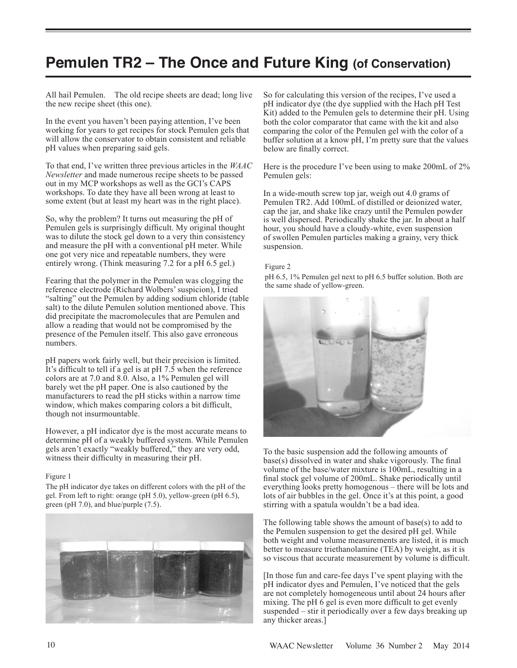## **Pemulen TR2 – The Once and Future King (of Conservation)**

All hail Pemulen. The old recipe sheets are dead; long live the new recipe sheet (this one).

In the event you haven't been paying attention, I've been working for years to get recipes for stock Pemulen gels that will allow the conservator to obtain consistent and reliable pH values when preparing said gels.

To that end, I've written three previous articles in the *WAAC Newsletter* and made numerous recipe sheets to be passed out in my MCP workshops as well as the GCI's CAPS workshops. To date they have all been wrong at least to some extent (but at least my heart was in the right place).

So, why the problem? It turns out measuring the pH of Pemulen gels is surprisingly difficult. My original thought was to dilute the stock gel down to a very thin consistency and measure the pH with a conventional pH meter. While one got very nice and repeatable numbers, they were entirely wrong. (Think measuring 7.2 for a pH 6.5 gel.)

Fearing that the polymer in the Pemulen was clogging the reference electrode (Richard Wolbers' suspicion), I tried "salting" out the Pemulen by adding sodium chloride (table salt) to the dilute Pemulen solution mentioned above. This did precipitate the macromolecules that are Pemulen and allow a reading that would not be compromised by the presence of the Pemulen itself. This also gave erroneous numbers.

pH papers work fairly well, but their precision is limited. It's difficult to tell if a gel is at pH 7.5 when the reference colors are at 7.0 and 8.0. Also, a 1% Pemulen gel will barely wet the pH paper. One is also cautioned by the manufacturers to read the pH sticks within a narrow time window, which makes comparing colors a bit difficult, though not insurmountable.

However, a pH indicator dye is the most accurate means to determine pH of a weakly buffered system. While Pemulen gels aren't exactly "weakly buffered," they are very odd, witness their difficulty in measuring their pH.

## Figure 1

The pH indicator dye takes on different colors with the pH of the gel. From left to right: orange (pH 5.0), yellow-green (pH 6.5), green (pH 7.0), and blue/purple (7.5).



So for calculating this version of the recipes, I've used a pH indicator dye (the dye supplied with the Hach pH Test Kit) added to the Pemulen gels to determine their pH. Using both the color comparator that came with the kit and also comparing the color of the Pemulen gel with the color of a buffer solution at a know pH, I'm pretty sure that the values below are finally correct.

Here is the procedure I've been using to make 200mL of 2% Pemulen gels:

In a wide-mouth screw top jar, weigh out 4.0 grams of Pemulen TR2. Add 100mL of distilled or deionized water, cap the jar, and shake like crazy until the Pemulen powder is well dispersed. Periodically shake the jar. In about a half hour, you should have a cloudy-white, even suspension of swollen Pemulen particles making a grainy, very thick suspension.

## Figure 2

pH 6.5, 1% Pemulen gel next to pH 6.5 buffer solution. Both are the same shade of yellow-green.



To the basic suspension add the following amounts of base(s) dissolved in water and shake vigorously. The final volume of the base/water mixture is 100mL, resulting in a final stock gel volume of 200mL. Shake periodically until everything looks pretty homogenous – there will be lots and lots of air bubbles in the gel. Once it's at this point, a good stirring with a spatula wouldn't be a bad idea.

The following table shows the amount of base(s) to add to the Pemulen suspension to get the desired pH gel. While both weight and volume measurements are listed, it is much better to measure triethanolamine (TEA) by weight, as it is so viscous that accurate measurement by volume is difficult.

[In those fun and care-fee days I've spent playing with the pH indicator dyes and Pemulen, I've noticed that the gels are not completely homogeneous until about 24 hours after mixing. The  $pH$  6 gel is even more difficult to get evenly suspended – stir it periodically over a few days breaking up any thicker areas.]